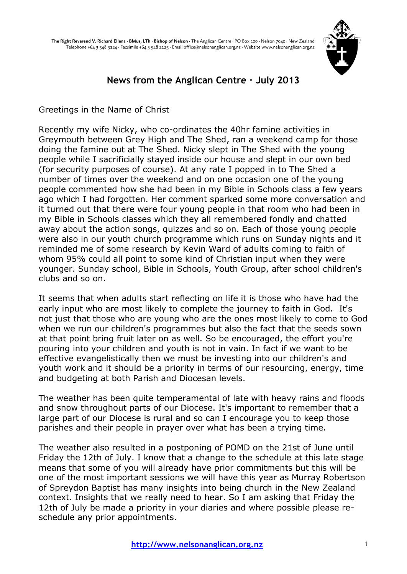

# **News from the Anglican Centre · July 2013**

Greetings in the Name of Christ

Recently my wife Nicky, who co-ordinates the 40hr famine activities in Greymouth between Grey High and The Shed, ran a weekend camp for those doing the famine out at The Shed. Nicky slept in The Shed with the young people while I sacrificially stayed inside our house and slept in our own bed (for security purposes of course). At any rate I popped in to The Shed a number of times over the weekend and on one occasion one of the young people commented how she had been in my Bible in Schools class a few years ago which I had forgotten. Her comment sparked some more conversation and it turned out that there were four young people in that room who had been in my Bible in Schools classes which they all remembered fondly and chatted away about the action songs, quizzes and so on. Each of those young people were also in our youth church programme which runs on Sunday nights and it reminded me of some research by Kevin Ward of adults coming to faith of whom 95% could all point to some kind of Christian input when they were younger. Sunday school, Bible in Schools, Youth Group, after school children's clubs and so on.

It seems that when adults start reflecting on life it is those who have had the early input who are most likely to complete the journey to faith in God. It's not just that those who are young who are the ones most likely to come to God when we run our children's programmes but also the fact that the seeds sown at that point bring fruit later on as well. So be encouraged, the effort you're pouring into your children and youth is not in vain. In fact if we want to be effective evangelistically then we must be investing into our children's and youth work and it should be a priority in terms of our resourcing, energy, time and budgeting at both Parish and Diocesan levels.

The weather has been quite temperamental of late with heavy rains and floods and snow throughout parts of our Diocese. It's important to remember that a large part of our Diocese is rural and so can I encourage you to keep those parishes and their people in prayer over what has been a trying time.

The weather also resulted in a postponing of POMD on the 21st of June until Friday the 12th of July. I know that a change to the schedule at this late stage means that some of you will already have prior commitments but this will be one of the most important sessions we will have this year as Murray Robertson of Spreydon Baptist has many insights into being church in the New Zealand context. Insights that we really need to hear. So I am asking that Friday the 12th of July be made a priority in your diaries and where possible please reschedule any prior appointments.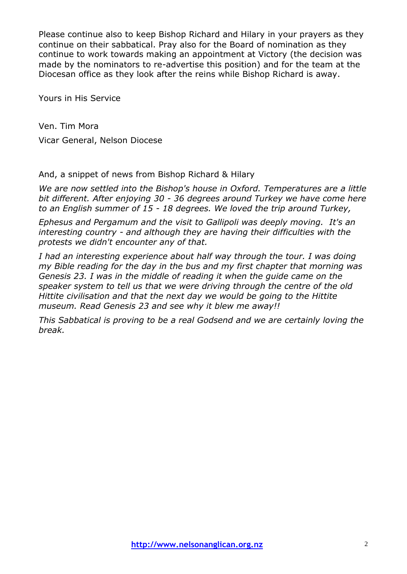Please continue also to keep Bishop Richard and Hilary in your prayers as they continue on their sabbatical. Pray also for the Board of nomination as they continue to work towards making an appointment at Victory (the decision was made by the nominators to re-advertise this position) and for the team at the Diocesan office as they look after the reins while Bishop Richard is away.

Yours in His Service

Ven. Tim Mora Vicar General, Nelson Diocese

And, a snippet of news from Bishop Richard & Hilary

*We are now settled into the Bishop's house in Oxford. Temperatures are a little bit different. After enjoying 30 - 36 degrees around Turkey we have come here to an English summer of 15 - 18 degrees. We loved the trip around Turkey,*

*Ephesus and Pergamum and the visit to Gallipoli was deeply moving. It's an interesting country - and although they are having their difficulties with the protests we didn't encounter any of that.*

*I had an interesting experience about half way through the tour. I was doing my Bible reading for the day in the bus and my first chapter that morning was Genesis 23. I was in the middle of reading it when the guide came on the speaker system to tell us that we were driving through the centre of the old Hittite civilisation and that the next day we would be going to the Hittite museum. Read Genesis 23 and see why it blew me away!!*

*This Sabbatical is proving to be a real Godsend and we are certainly loving the break.*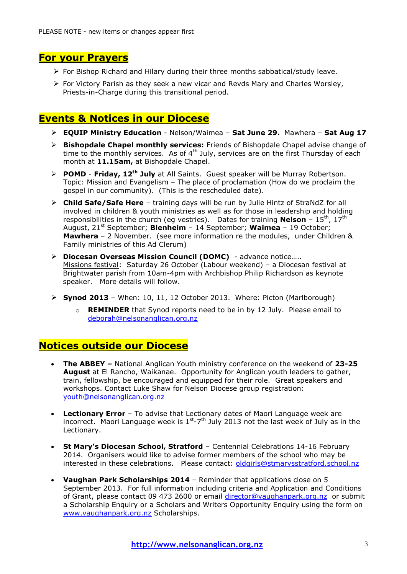# **For your Prayers**

- $\triangleright$  For Bishop Richard and Hilary during their three months sabbatical/study leave.
- $\triangleright$  For Victory Parish as they seek a new vicar and Revds Mary and Charles Worsley, Priests-in-Charge during this transitional period.

### **Events & Notices in our Diocese**

- **EQUIP Ministry Education** Nelson/Waimea **Sat June 29.** Mawhera **Sat Aug 17**
- **Bishopdale Chapel monthly services:** Friends of Bishopdale Chapel advise change of time to the monthly services. As of  $4<sup>th</sup>$  July, services are on the first Thursday of each month at **11.15am,** at Bishopdale Chapel.
- **POMD Friday, 12th July** at All Saints. Guest speaker will be Murray Robertson. Topic: Mission and Evangelism – The place of proclamation (How do we proclaim the gospel in our community). (This is the rescheduled date).
- **Child Safe/Safe Here** training days will be run by Julie Hintz of StraNdZ for all involved in children & youth ministries as well as for those in leadership and holding responsibilities in the church (eg vestries). Dates for training **Nelson** - 15<sup>th</sup>, 17<sup>th</sup> August, 21st September; **Blenheim** – 14 September; **Waimea** – 19 October; **Mawhera** – 2 November. (see more information re the modules, under Children & Family ministries of this Ad Clerum)
- **Diocesan Overseas Mission Council (DOMC)**  advance notice….. Missions festival: Saturday 26 October (Labour weekend) – a Diocesan festival at Brightwater parish from 10am-4pm with Archbishop Philip Richardson as keynote speaker. More details will follow.
- $\triangleright$  **Synod 2013** When: 10, 11, 12 October 2013. Where: Picton (Marlborough)
	- o **REMINDER** that Synod reports need to be in by 12 July. Please email to [deborah@nelsonanglican.org.nz](mailto:deborah@nelsonanglican.org.nz)

### **Notices outside our Diocese**

- **The ABBEY –** National Anglican Youth ministry conference on the weekend of **23-25 August** at El Rancho, Waikanae. Opportunity for Anglican youth leaders to gather, train, fellowship, be encouraged and equipped for their role. Great speakers and workshops. Contact Luke Shaw for Nelson Diocese group registration: [youth@nelsonanglican.org.nz](mailto:youth@nelsonanglican.org.nz)
- **Lectionary Error** To advise that Lectionary dates of Maori Language week are incorrect. Maori Language week is  $1^{st}$ -7<sup>th</sup> July 2013 not the last week of July as in the Lectionary.
- **St Mary's Diocesan School, Stratford** Centennial Celebrations 14-16 February 2014. Organisers would like to advise former members of the school who may be interested in these celebrations. Please contact: [oldgirls@stmarysstratford.school.nz](mailto:oldgirls@stmarysstratford.school.nz)
- **Vaughan Park Scholarships 2014** Reminder that applications close on 5 September 2013. For full information including criteria and Application and Conditions of Grant, please contact 09 473 2600 or email [director@vaughanpark.org.nz](mailto:director@vaughanpark.org.nz) or submit a Scholarship Enquiry or a Scholars and Writers Opportunity Enquiry using the form on [www.vaughanpark.org.nz](http://www.vaughanpark.org.nz/) Scholarships.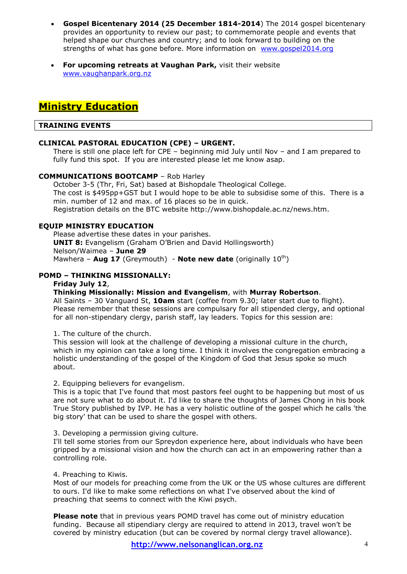- **Gospel Bicentenary 2014 (25 December 1814-2014**) The 2014 gospel bicentenary provides an opportunity to review our past; to commemorate people and events that helped shape our churches and country; and to look forward to building on the strengths of what has gone before. More information on [www.gospel2014.org](http://www.gospel2014.org/)
- **For upcoming retreats at Vaughan Park,** visit their website [www.vaughanpark.org.nz](http://www.vaughanpark.org.nz/)

# **Ministry Education**

#### **TRAINING EVENTS**

#### **CLINICAL PASTORAL EDUCATION (CPE) – URGENT.**

There is still one place left for CPE – beginning mid July until Nov – and I am prepared to fully fund this spot. If you are interested please let me know asap.

#### **COMMUNICATIONS BOOTCAMP** – Rob Harley

October 3-5 (Thr, Fri, Sat) based at Bishopdale Theological College. The cost is \$495pp+GST but I would hope to be able to subsidise some of this. There is a min. number of 12 and max. of 16 places so be in quick. Registration details on the BTC website http://www.bishopdale.ac.nz/news.htm.

#### **EQUIP MINISTRY EDUCATION**

Please advertise these dates in your parishes. **UNIT 8:** Evangelism (Graham O'Brien and David Hollingsworth) Nelson/Waimea – **June 29**  Mawhera – **Aug 17** (Greymouth) - **Note new date** (originally 10<sup>th</sup>)

#### **POMD – THINKING MISSIONALLY:**

#### **Friday July 12**,

#### **Thinking Missionally: Mission and Evangelism**, with **Murray Robertson**.

All Saints – 30 Vanguard St, **10am** start (coffee from 9.30; later start due to flight). Please remember that these sessions are compulsary for all stipended clergy, and optional for all non-stipendary clergy, parish staff, lay leaders. Topics for this session are:

1. The culture of the church.

This session will look at the challenge of developing a missional culture in the church, which in my opinion can take a long time. I think it involves the congregation embracing a holistic understanding of the gospel of the Kingdom of God that Jesus spoke so much about.

#### 2. Equipping believers for evangelism.

This is a topic that I've found that most pastors feel ought to be happening but most of us are not sure what to do about it. I'd like to share the thoughts of James Chong in his book True Story published by IVP. He has a very holistic outline of the gospel which he calls 'the big story' that can be used to share the gospel with others.

3. Developing a permission giving culture.

I'll tell some stories from our Spreydon experience here, about individuals who have been gripped by a missional vision and how the church can act in an empowering rather than a controlling role.

#### 4. Preaching to Kiwis.

Most of our models for preaching come from the UK or the US whose cultures are different to ours. I'd like to make some reflections on what I've observed about the kind of preaching that seems to connect with the Kiwi psych.

**Please note** that in previous years POMD travel has come out of ministry education funding. Because all stipendiary clergy are required to attend in 2013, travel won't be covered by ministry education (but can be covered by normal clergy travel allowance).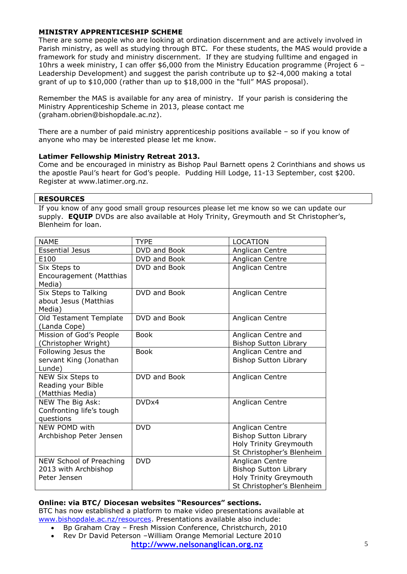#### **MINISTRY APPRENTICESHIP SCHEME**

There are some people who are looking at ordination discernment and are actively involved in Parish ministry, as well as studying through BTC. For these students, the MAS would provide a framework for study and ministry discernment. If they are studying fulltime and engaged in 10hrs a week ministry, I can offer \$6,000 from the Ministry Education programme (Project 6 – Leadership Development) and suggest the parish contribute up to \$2-4,000 making a total grant of up to \$10,000 (rather than up to \$18,000 in the "full" MAS proposal).

Remember the MAS is available for any area of ministry. If your parish is considering the Ministry Apprenticeship Scheme in 2013, please contact me (graham.obrien@bishopdale.ac.nz).

There are a number of paid ministry apprenticeship positions available – so if you know of anyone who may be interested please let me know.

#### **Latimer Fellowship Ministry Retreat 2013.**

Come and be encouraged in ministry as Bishop Paul Barnett opens 2 Corinthians and shows us the apostle Paul's heart for God's people. Pudding Hill Lodge, 11-13 September, cost \$200. Register at www.latimer.org.nz.

#### **RESOURCES**

If you know of any good small group resources please let me know so we can update our supply. **EQUIP** DVDs are also available at Holy Trinity, Greymouth and St Christopher's, Blenheim for loan.

| <b>NAME</b>                                                     | <b>TYPE</b>  | <b>LOCATION</b>                                                                                        |
|-----------------------------------------------------------------|--------------|--------------------------------------------------------------------------------------------------------|
| <b>Essential Jesus</b>                                          | DVD and Book | Anglican Centre                                                                                        |
| E100                                                            | DVD and Book | Anglican Centre                                                                                        |
| Six Steps to<br>Encouragement (Matthias<br>Media)               | DVD and Book | Anglican Centre                                                                                        |
| Six Steps to Talking<br>about Jesus (Matthias<br>Media)         | DVD and Book | Anglican Centre                                                                                        |
| Old Testament Template<br>(Landa Cope)                          | DVD and Book | Anglican Centre                                                                                        |
| Mission of God's People<br>(Christopher Wright)                 | <b>Book</b>  | Anglican Centre and<br><b>Bishop Sutton Library</b>                                                    |
| Following Jesus the<br>servant King (Jonathan<br>Lunde)         | <b>Book</b>  | Anglican Centre and<br><b>Bishop Sutton Library</b>                                                    |
| NEW Six Steps to<br>Reading your Bible<br>(Matthias Media)      | DVD and Book | Anglican Centre                                                                                        |
| NEW The Big Ask:<br>Confronting life's tough<br>questions       | DVDx4        | Anglican Centre                                                                                        |
| NEW POMD with<br>Archbishop Peter Jensen                        | <b>DVD</b>   | Anglican Centre<br><b>Bishop Sutton Library</b><br>Holy Trinity Greymouth<br>St Christopher's Blenheim |
| NEW School of Preaching<br>2013 with Archbishop<br>Peter Jensen | <b>DVD</b>   | Anglican Centre<br><b>Bishop Sutton Library</b><br>Holy Trinity Greymouth<br>St Christopher's Blenheim |

#### **Online: via BTC/ Diocesan websites "Resources" sections.**

BTC has now established a platform to make video presentations available at [www.bishopdale.ac.nz/resources.](http://www.bishopdale.ac.nz/resources) Presentations available also include:

- Bp Graham Cray Fresh Mission Conference, Christchurch, 2010
- Rev Dr David Peterson William Orange Memorial Lecture 2010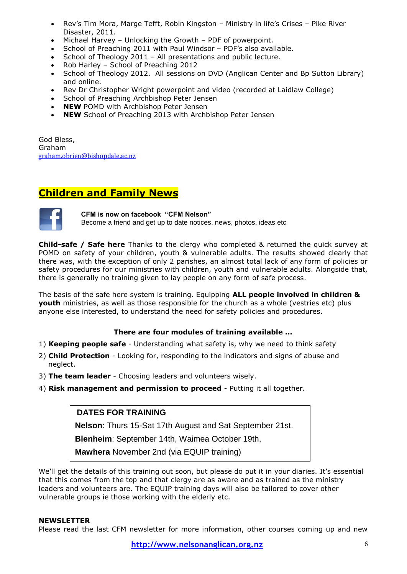- Rev's Tim Mora, Marge Tefft, Robin Kingston Ministry in life's Crises Pike River Disaster, 2011.
- Michael Harvey Unlocking the Growth PDF of powerpoint.
- School of Preaching 2011 with Paul Windsor PDF's also available.
- School of Theology 2011 All presentations and public lecture.
- Rob Harley School of Preaching 2012
- School of Theology 2012. All sessions on DVD (Anglican Center and Bp Sutton Library) and online.
- Rev Dr Christopher Wright powerpoint and video (recorded at Laidlaw College)
- School of Preaching Archbishop Peter Jensen
- **NEW** POMD with Archbishop Peter Jensen
- **NEW** School of Preaching 2013 with Archbishop Peter Jensen

God Bless, Graham [graham.obrien@bishopdale.ac.nz](mailto:graham.obrien@bishopdale.ac.nz)

## **Children and Family News**



**CFM is now on facebook "CFM Nelson"**  Become a friend and get up to date notices, news, photos, ideas etc

**Child-safe / Safe here** Thanks to the clergy who completed & returned the quick survey at POMD on safety of your children, youth & vulnerable adults. The results showed clearly that there was, with the exception of only 2 parishes, an almost total lack of any form of policies or safety procedures for our ministries with children, youth and vulnerable adults. Alongside that, there is generally no training given to lay people on any form of safe process.

The basis of the safe here system is training. Equipping **ALL people involved in children & youth** ministries, as well as those responsible for the church as a whole (vestries etc) plus anyone else interested, to understand the need for safety policies and procedures.

#### **There are four modules of training available ...**

- 1) **Keeping people safe**  Understanding what safety is, why we need to think safety
- 2) **Child Protection** Looking for, responding to the indicators and signs of abuse and neglect.
- 3) **The team leader**  Choosing leaders and volunteers wisely.
- 4) **Risk management and permission to proceed**  Putting it all together.

### **DATES FOR TRAINING**

**Nelson**: Thurs 15-Sat 17th August and Sat September 21st.

**Blenheim**: September 14th, Waimea October 19th,

**Mawhera** November 2nd (via EQUIP training)

We'll get the details of this training out soon, but please do put it in your diaries. It's essential that this comes from the top and that clergy are as aware and as trained as the ministry leaders and volunteers are. The EQUIP training days will also be tailored to cover other vulnerable groups ie those working with the elderly etc.

#### **NEWSLETTER**

Please read the last CFM newsletter for more information, other courses coming up and new

**http://www.nelsonanglican.org.nz** 6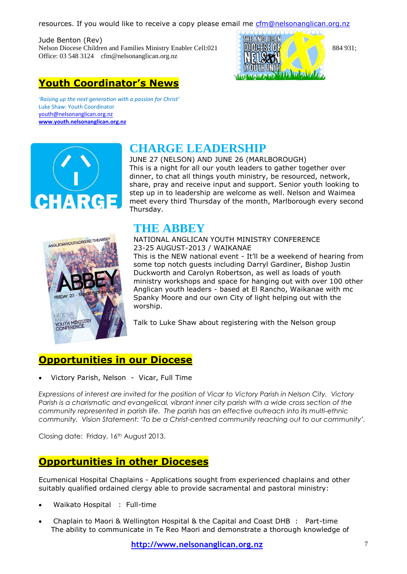resources. If you would like to receive a copy please email me [cfm@nelsonanglican.org.nz](mailto:cfm@nelsonanglican.org.nz)

Jude Benton (Rev) Nelson Diocese Children and Families Ministry Enabler Cell:021 884 931; Office: 03 548 3124 [cfm@nelsonanglican.org.nz](mailto:cfm@nelsonanglican.org.nz)



# **Youth Coordinator's News**

*'Raising up the next generation with a passion for Christ'* Luke Shaw: Youth Coordinator [youth@nelsonanglican.org.nz](mailto:youth@nelsonanglican.org.nz) **[www.youth.nelsonanglican.org.nz](http://www.youth.nelsonanglican.org.nz/)**



# **CHARGE LEADERSHIP**

JUNE 27 (NELSON) AND JUNE 26 (MARLBOROUGH) This is a night for all our youth leaders to gather together over dinner, to chat all things youth ministry, be resourced, network, share, pray and receive input and support. Senior youth looking to step up in to leadership are welcome as well. Nelson and Waimea meet every third Thursday of the month, Marlborough every second Thursday.



# **THE ABBEY**

NATIONAL ANGLICAN YOUTH MINISTRY CONFERENCE 23-25 AUGUST-2013 / WAIKANAE This is the NEW national event - It'll be a weekend of hearing from some top notch guests including Darryl Gardiner, Bishop Justin Duckworth and Carolyn Robertson, as well as loads of youth ministry workshops and space for hanging out with over 100 other Anglican youth leaders - based at El Rancho, Waikanae with mc Spanky Moore and our own City of light helping out with the worship.

Talk to Luke Shaw about registering with the Nelson group

# **Opportunities in our Diocese**

Victory Parish, Nelson - Vicar, Full Time

*Expressions of interest are invited for the position of Vicar to Victory Parish in Nelson City. Victory Parish is a charismatic and evangelical, vibrant inner city parish with a wide cross section of the community represented in parish life. The parish has an effective outreach into its multi-ethnic community. Vision Statement: 'To be a Christ-centred community reaching out to our community'.*

Closing date: Friday, 16th August 2013.

# **Opportunities in other Dioceses**

Ecumenical Hospital Chaplains - Applications sought from experienced chaplains and other suitably qualified ordained clergy able to provide sacramental and pastoral ministry:

- Waikato Hospital : Full-time
- Chaplain to Maori & Wellington Hospital & the Capital and Coast DHB : Part-time The ability to communicate in Te Reo Maori and demonstrate a thorough knowledge of